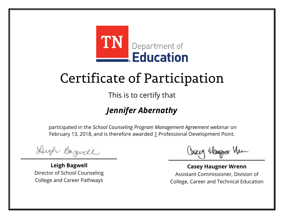

This is to certify that

### *Jennifer Abernathy*

Lugh Bazwell

**Leigh Bagwell** Director of School Counseling College and Career Pathways

Losey Hangra Vm

**Casey Haugner Wrenn** Assistant Commissioner, Division of College, Career and Technical Education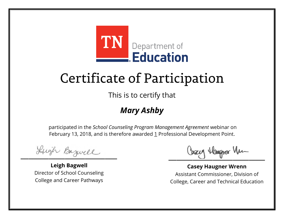

This is to certify that

### *Mary Ashby*

Lugh Bazwell

**Leigh Bagwell** Director of School Counseling College and Career Pathways

Losey Hangra Vm

**Casey Haugner Wrenn** Assistant Commissioner, Division of College, Career and Technical Education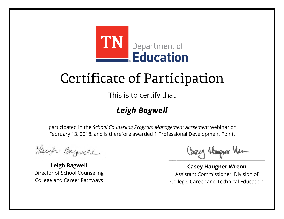

This is to certify that

### *Leigh Bagwell*

Lugh Bazwell

**Leigh Bagwell** Director of School Counseling College and Career Pathways

Losey Hangra Vm

**Casey Haugner Wrenn** Assistant Commissioner, Division of College, Career and Technical Education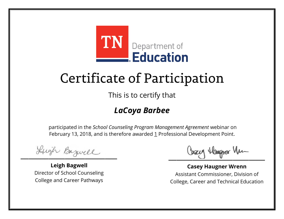

This is to certify that

### *LaCoya Barbee*

Lugh Bazwell

**Leigh Bagwell** Director of School Counseling College and Career Pathways

Losey Hangra Vm

**Casey Haugner Wrenn** Assistant Commissioner, Division of College, Career and Technical Education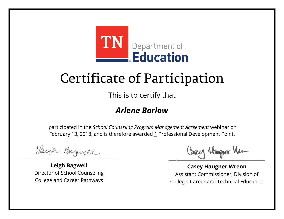

This is to certify that

#### *Arlene Barlow*

Lugh Bazwell

**Leigh Bagwell** Director of School Counseling College and Career Pathways

Losey Hangra Vm

**Casey Haugner Wrenn** Assistant Commissioner, Division of College, Career and Technical Education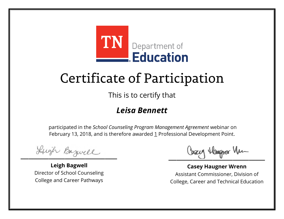

This is to certify that

#### *Leisa Bennett*

Lugh Bazwell

**Leigh Bagwell** Director of School Counseling College and Career Pathways

Losey Hangra Vm

**Casey Haugner Wrenn** Assistant Commissioner, Division of College, Career and Technical Education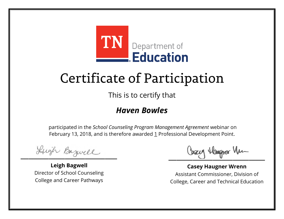

This is to certify that

#### *Haven Bowles*

Lugh Bazwell

**Leigh Bagwell** Director of School Counseling College and Career Pathways

Losey Hangra Vm

**Casey Haugner Wrenn** Assistant Commissioner, Division of College, Career and Technical Education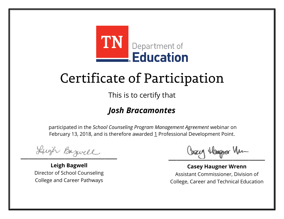

This is to certify that

### *Josh Bracamontes*

Lugh Bazwell

**Leigh Bagwell** Director of School Counseling College and Career Pathways

Losey Hangra Vm

**Casey Haugner Wrenn** Assistant Commissioner, Division of College, Career and Technical Education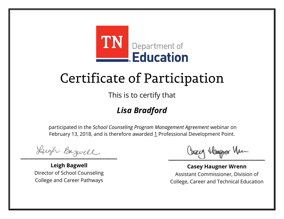

This is to certify that

### *Lisa Bradford*

Lugh Bazwell

**Leigh Bagwell** Director of School Counseling College and Career Pathways

Losey Hangra Vm

**Casey Haugner Wrenn** Assistant Commissioner, Division of College, Career and Technical Education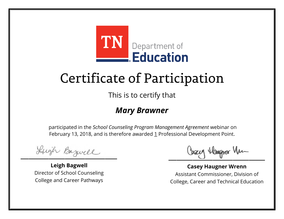

This is to certify that

#### *Mary Brawner*

Lugh Bazwell

**Leigh Bagwell** Director of School Counseling College and Career Pathways

Losey Hangra Vm

**Casey Haugner Wrenn** Assistant Commissioner, Division of College, Career and Technical Education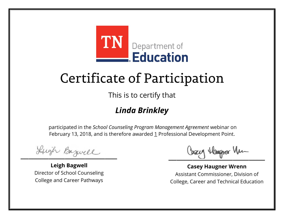

This is to certify that

### *Linda Brinkley*

Lugh Bazwell

**Leigh Bagwell** Director of School Counseling College and Career Pathways

Losey Hangra Vm

**Casey Haugner Wrenn** Assistant Commissioner, Division of College, Career and Technical Education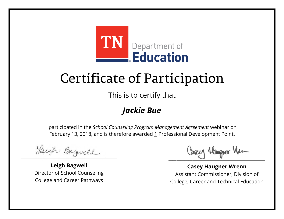

This is to certify that

### *Jackie Bue*

Lugh Bazwell

**Leigh Bagwell** Director of School Counseling College and Career Pathways

Losey Hangra Vm

**Casey Haugner Wrenn** Assistant Commissioner, Division of College, Career and Technical Education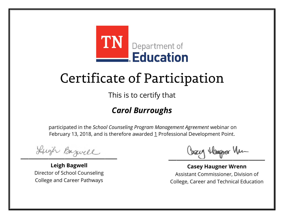

This is to certify that

### *Carol Burroughs*

Lugh Bazwell

**Leigh Bagwell** Director of School Counseling College and Career Pathways

Losey Hangra Vm

**Casey Haugner Wrenn** Assistant Commissioner, Division of College, Career and Technical Education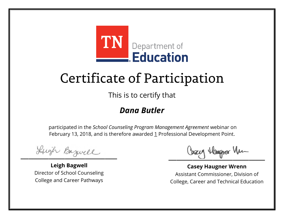

This is to certify that

#### *Dana Butler*

Lugh Bazwell

**Leigh Bagwell** Director of School Counseling College and Career Pathways

Losey Hangra Vm

**Casey Haugner Wrenn** Assistant Commissioner, Division of College, Career and Technical Education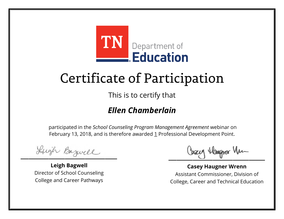

This is to certify that

### *Ellen Chamberlain*

Lugh Bazwell

**Leigh Bagwell** Director of School Counseling College and Career Pathways

Losey Hangra Vm

**Casey Haugner Wrenn** Assistant Commissioner, Division of College, Career and Technical Education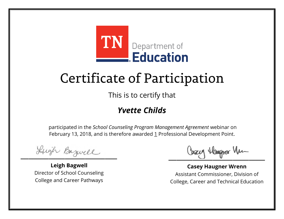

This is to certify that

### *Yvette Childs*

Lugh Bazwell

**Leigh Bagwell** Director of School Counseling College and Career Pathways

Losey Hangra Vm

**Casey Haugner Wrenn** Assistant Commissioner, Division of College, Career and Technical Education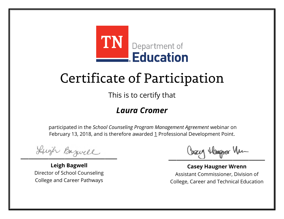

This is to certify that

#### *Laura Cromer*

Lugh Bazwell

**Leigh Bagwell** Director of School Counseling College and Career Pathways

Losey Hangra Vm

**Casey Haugner Wrenn** Assistant Commissioner, Division of College, Career and Technical Education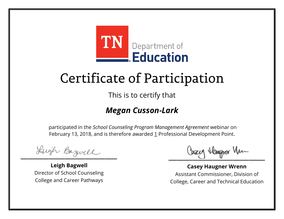

This is to certify that

### *Megan Cusson-Lark*

Lugh Bazwell

**Leigh Bagwell** Director of School Counseling College and Career Pathways

Losey Hangra Vm

**Casey Haugner Wrenn** Assistant Commissioner, Division of College, Career and Technical Education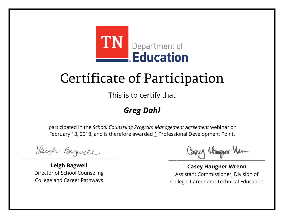

This is to certify that

### *Greg Dahl*

Lugh Bazwell

**Leigh Bagwell** Director of School Counseling College and Career Pathways

Losey Hangra Vm

**Casey Haugner Wrenn** Assistant Commissioner, Division of College, Career and Technical Education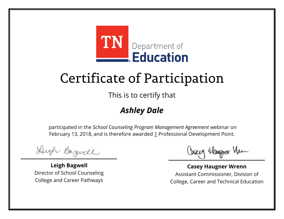

This is to certify that

### *Ashley Dale*

Lugh Bazwell

**Leigh Bagwell** Director of School Counseling College and Career Pathways

Losey Hangra Vm

**Casey Haugner Wrenn** Assistant Commissioner, Division of College, Career and Technical Education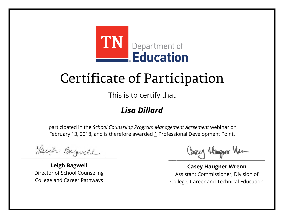

This is to certify that

### *Lisa Dillard*

Lugh Bazwell

**Leigh Bagwell** Director of School Counseling College and Career Pathways

Losey Hangra Vm

**Casey Haugner Wrenn** Assistant Commissioner, Division of College, Career and Technical Education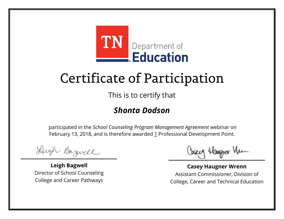

This is to certify that

### *Shonta Dodson*

Lugh Bazwell

**Leigh Bagwell** Director of School Counseling College and Career Pathways

Losey Hangra Vm

**Casey Haugner Wrenn** Assistant Commissioner, Division of College, Career and Technical Education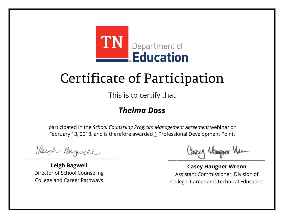

This is to certify that

#### *Thelma Doss*

Lugh Bazwell

**Leigh Bagwell** Director of School Counseling College and Career Pathways

Losey Hangra Vm

**Casey Haugner Wrenn** Assistant Commissioner, Division of College, Career and Technical Education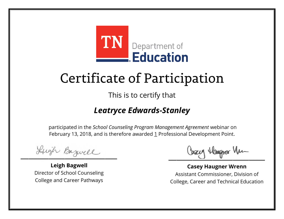

This is to certify that

### *Leatryce Edwards-Stanley*

Lugh Bazwell

**Leigh Bagwell** Director of School Counseling College and Career Pathways

Losey Hangra Vm

**Casey Haugner Wrenn** Assistant Commissioner, Division of College, Career and Technical Education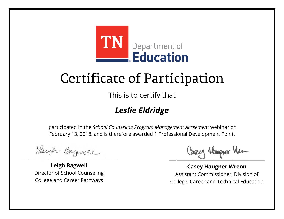

This is to certify that

### *Leslie Eldridge*

Lugh Bazwell

**Leigh Bagwell** Director of School Counseling College and Career Pathways

Losey Hangra Vm

**Casey Haugner Wrenn** Assistant Commissioner, Division of College, Career and Technical Education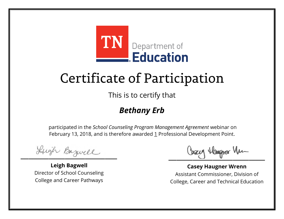

This is to certify that

### *Bethany Erb*

Lugh Bazwell

**Leigh Bagwell** Director of School Counseling College and Career Pathways

Losey Hangra Vm

**Casey Haugner Wrenn** Assistant Commissioner, Division of College, Career and Technical Education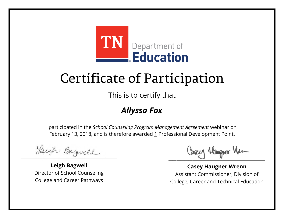

This is to certify that

### *Allyssa Fox*

Lugh Bazwell

**Leigh Bagwell** Director of School Counseling College and Career Pathways

Losey Hangra Vm

**Casey Haugner Wrenn** Assistant Commissioner, Division of College, Career and Technical Education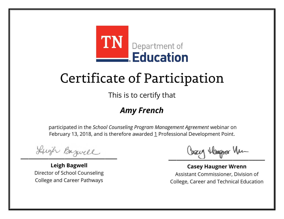

This is to certify that

### *Amy French*

Lugh Bazwell

**Leigh Bagwell** Director of School Counseling College and Career Pathways

Losey Hangra Vm

**Casey Haugner Wrenn** Assistant Commissioner, Division of College, Career and Technical Education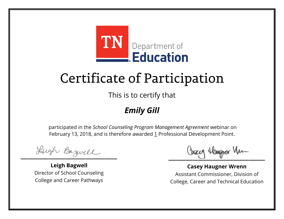

This is to certify that

### *Emily Gill*

Lugh Bazwell

**Leigh Bagwell** Director of School Counseling College and Career Pathways

Losey Hangra Vm

**Casey Haugner Wrenn** Assistant Commissioner, Division of College, Career and Technical Education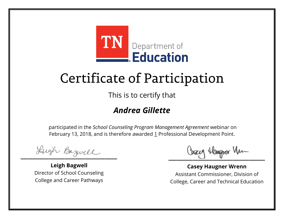

This is to certify that

### *Andrea Gillette*

Lugh Bazwell

**Leigh Bagwell** Director of School Counseling College and Career Pathways

Losey Hangra Vm

**Casey Haugner Wrenn** Assistant Commissioner, Division of College, Career and Technical Education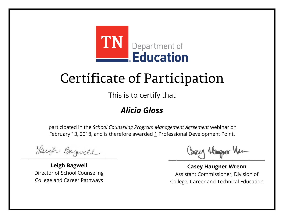

This is to certify that

### *Alicia Gloss*

Lugh Bazwell

**Leigh Bagwell** Director of School Counseling College and Career Pathways

Losey Hangra Vm

**Casey Haugner Wrenn** Assistant Commissioner, Division of College, Career and Technical Education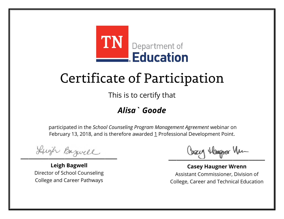

This is to certify that

### *Alisa` Goode*

Lugh Bazwell

**Leigh Bagwell** Director of School Counseling College and Career Pathways

Losey Hangra Vm

**Casey Haugner Wrenn** Assistant Commissioner, Division of College, Career and Technical Education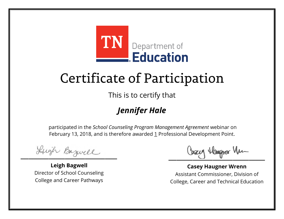

This is to certify that

### *Jennifer Hale*

Lugh Bazwell

**Leigh Bagwell** Director of School Counseling College and Career Pathways

Losey Hangra Vm

**Casey Haugner Wrenn** Assistant Commissioner, Division of College, Career and Technical Education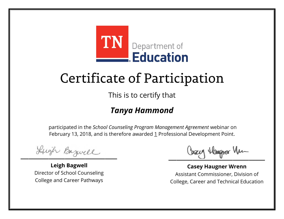

This is to certify that

### *Tanya Hammond*

Lugh Bazwell

**Leigh Bagwell** Director of School Counseling College and Career Pathways

Losey Hangra Vm

**Casey Haugner Wrenn** Assistant Commissioner, Division of College, Career and Technical Education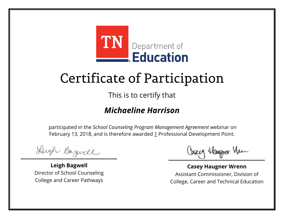

This is to certify that

#### *Michaeline Harrison*

Lugh Bazwell

**Leigh Bagwell** Director of School Counseling College and Career Pathways

Losey Hangra Vm

**Casey Haugner Wrenn** Assistant Commissioner, Division of College, Career and Technical Education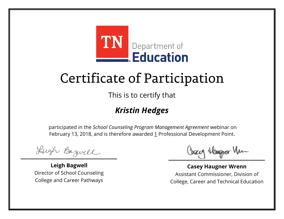

This is to certify that

### *Kristin Hedges*

Lugh Bazwell

**Leigh Bagwell** Director of School Counseling College and Career Pathways

Losey Hangra Vm

**Casey Haugner Wrenn** Assistant Commissioner, Division of College, Career and Technical Education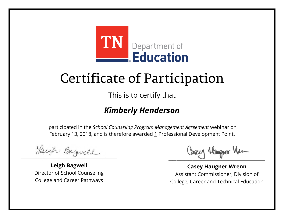

This is to certify that

#### *Kimberly Henderson*

Lugh Bazwell

**Leigh Bagwell** Director of School Counseling College and Career Pathways

Losey Hangra Vm

**Casey Haugner Wrenn** Assistant Commissioner, Division of College, Career and Technical Education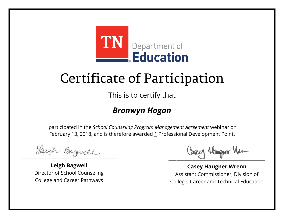

This is to certify that

#### *Bronwyn Hogan*

Lugh Bazwell

**Leigh Bagwell** Director of School Counseling College and Career Pathways

Losey Hangra Vm

**Casey Haugner Wrenn** Assistant Commissioner, Division of College, Career and Technical Education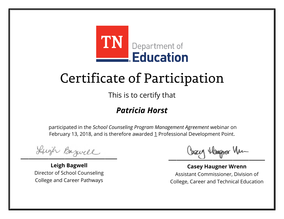

This is to certify that

#### *Patricia Horst*

Lugh Bazwell

**Leigh Bagwell** Director of School Counseling College and Career Pathways

Losey Hangra Vm

**Casey Haugner Wrenn** Assistant Commissioner, Division of College, Career and Technical Education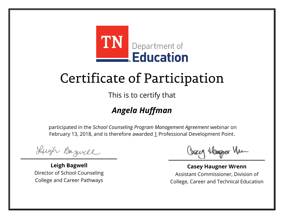

This is to certify that

### *Angela Huffman*

Lugh Bazwell

**Leigh Bagwell** Director of School Counseling College and Career Pathways

Losey Hangra Vm

**Casey Haugner Wrenn** Assistant Commissioner, Division of College, Career and Technical Education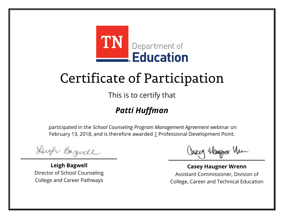

This is to certify that

### *Patti Huffman*

Lugh Bazwell

**Leigh Bagwell** Director of School Counseling College and Career Pathways

Losey Hangra Vm

**Casey Haugner Wrenn** Assistant Commissioner, Division of College, Career and Technical Education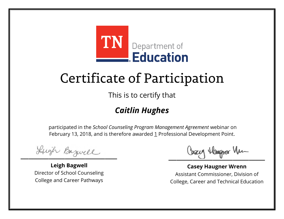

This is to certify that

### *Caitlin Hughes*

Lugh Bazwell

**Leigh Bagwell** Director of School Counseling College and Career Pathways

Losey Hangra Vm

**Casey Haugner Wrenn** Assistant Commissioner, Division of College, Career and Technical Education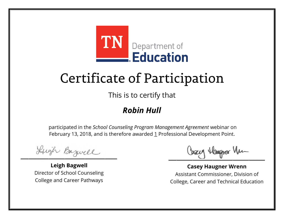

This is to certify that

#### *Robin Hull*

Lugh Bazwell

**Leigh Bagwell** Director of School Counseling College and Career Pathways

Losey Hangra Vm

**Casey Haugner Wrenn** Assistant Commissioner, Division of College, Career and Technical Education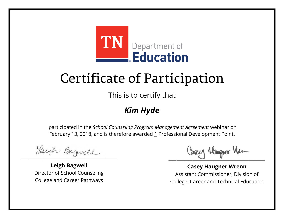

This is to certify that

#### *Kim Hyde*

Lugh Bazwell

**Leigh Bagwell** Director of School Counseling College and Career Pathways

Losey Hangra Vm

**Casey Haugner Wrenn** Assistant Commissioner, Division of College, Career and Technical Education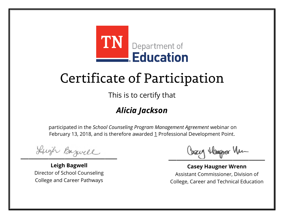

This is to certify that

### *Alicia Jackson*

Lugh Bazwell

**Leigh Bagwell** Director of School Counseling College and Career Pathways

Losey Hangra Vm

**Casey Haugner Wrenn** Assistant Commissioner, Division of College, Career and Technical Education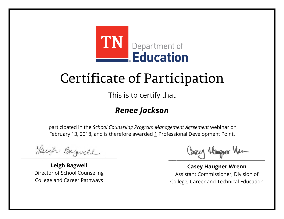

This is to certify that

#### *Renee Jackson*

Lugh Bazwell

**Leigh Bagwell** Director of School Counseling College and Career Pathways

Losey Hangra Vm

**Casey Haugner Wrenn** Assistant Commissioner, Division of College, Career and Technical Education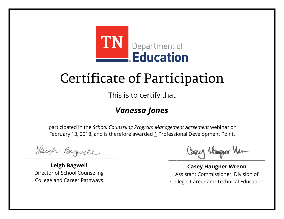

This is to certify that

#### *Vanessa Jones*

Lugh Bazwell

**Leigh Bagwell** Director of School Counseling College and Career Pathways

Losey Hangra Vm

**Casey Haugner Wrenn** Assistant Commissioner, Division of College, Career and Technical Education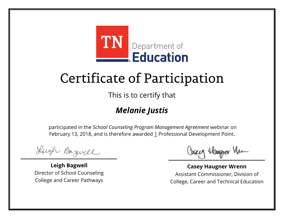![](_page_47_Picture_0.jpeg)

This is to certify that

### *Melanie Justis*

Lugh Bazwell

**Leigh Bagwell** Director of School Counseling College and Career Pathways

Losey Hangra Vm

**Casey Haugner Wrenn** Assistant Commissioner, Division of College, Career and Technical Education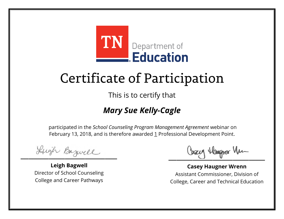![](_page_48_Picture_0.jpeg)

This is to certify that

### *Mary Sue Kelly-Cagle*

Lugh Bazwell

**Leigh Bagwell** Director of School Counseling College and Career Pathways

Losey Hangra Vm

**Casey Haugner Wrenn** Assistant Commissioner, Division of College, Career and Technical Education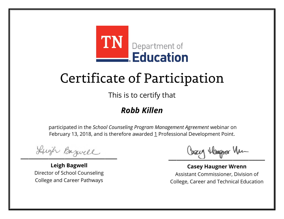![](_page_49_Picture_0.jpeg)

This is to certify that

#### *Robb Killen*

Lugh Bazwell

**Leigh Bagwell** Director of School Counseling College and Career Pathways

Losey Hangra Vm

**Casey Haugner Wrenn** Assistant Commissioner, Division of College, Career and Technical Education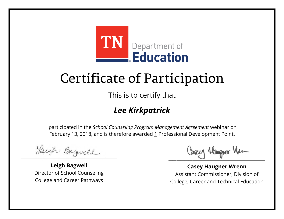![](_page_50_Picture_0.jpeg)

This is to certify that

### *Lee Kirkpatrick*

Lugh Bazwell

**Leigh Bagwell** Director of School Counseling College and Career Pathways

Losey Hangra Vm

**Casey Haugner Wrenn** Assistant Commissioner, Division of College, Career and Technical Education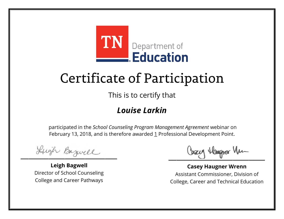![](_page_51_Picture_0.jpeg)

This is to certify that

#### *Louise Larkin*

Lugh Bazwell

**Leigh Bagwell** Director of School Counseling College and Career Pathways

Losey Hangra Vm

**Casey Haugner Wrenn** Assistant Commissioner, Division of College, Career and Technical Education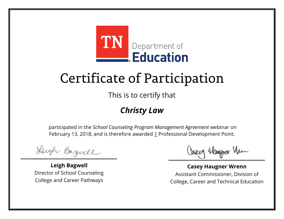![](_page_52_Picture_0.jpeg)

This is to certify that

### *Christy Law*

Lugh Bazwell

**Leigh Bagwell** Director of School Counseling College and Career Pathways

Losey Hangra Vm

**Casey Haugner Wrenn** Assistant Commissioner, Division of College, Career and Technical Education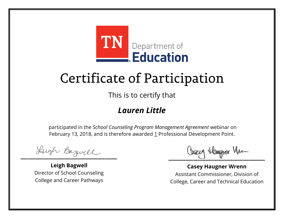![](_page_53_Picture_0.jpeg)

This is to certify that

#### *Lauren Little*

Lugh Bazwell

**Leigh Bagwell** Director of School Counseling College and Career Pathways

Losey Hangra Vm

**Casey Haugner Wrenn** Assistant Commissioner, Division of College, Career and Technical Education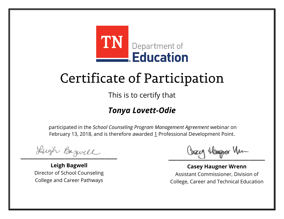![](_page_54_Picture_0.jpeg)

This is to certify that

#### *Tonya Lovett-Odie*

Lugh Bazwell

**Leigh Bagwell** Director of School Counseling College and Career Pathways

Losey Hangra Vm

**Casey Haugner Wrenn** Assistant Commissioner, Division of College, Career and Technical Education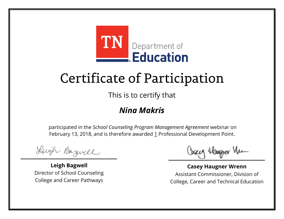![](_page_55_Picture_0.jpeg)

This is to certify that

#### *Nina Makris*

Lugh Bazwell

**Leigh Bagwell** Director of School Counseling College and Career Pathways

Losey Hangra Vm

**Casey Haugner Wrenn** Assistant Commissioner, Division of College, Career and Technical Education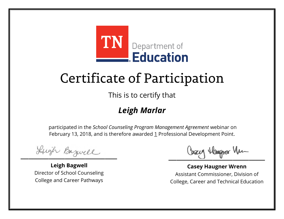![](_page_56_Picture_0.jpeg)

This is to certify that

### *Leigh Marlar*

Lugh Bazwell

**Leigh Bagwell** Director of School Counseling College and Career Pathways

Losey Hangra Vm

**Casey Haugner Wrenn** Assistant Commissioner, Division of College, Career and Technical Education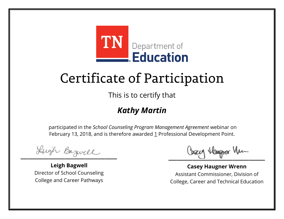![](_page_57_Picture_0.jpeg)

This is to certify that

#### *Kathy Martin*

Lugh Bazwell

**Leigh Bagwell** Director of School Counseling College and Career Pathways

Losey Hangra Vm

**Casey Haugner Wrenn** Assistant Commissioner, Division of College, Career and Technical Education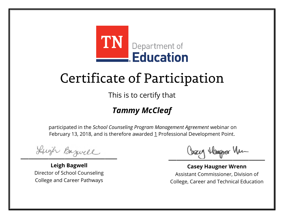![](_page_58_Picture_0.jpeg)

This is to certify that

### *Tammy McCleaf*

Lugh Bazwell

**Leigh Bagwell** Director of School Counseling College and Career Pathways

Losey Hangra Vm

**Casey Haugner Wrenn** Assistant Commissioner, Division of College, Career and Technical Education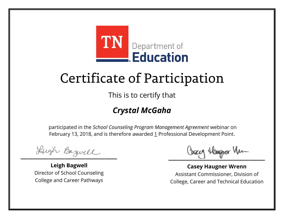![](_page_59_Picture_0.jpeg)

This is to certify that

### *Crystal McGaha*

Lugh Bazwell

**Leigh Bagwell** Director of School Counseling College and Career Pathways

Losey Hangra Vm

**Casey Haugner Wrenn** Assistant Commissioner, Division of College, Career and Technical Education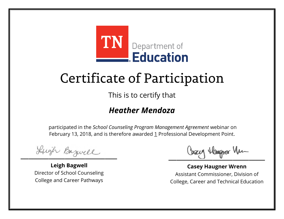![](_page_60_Picture_0.jpeg)

This is to certify that

#### *Heather Mendoza*

Lugh Bazwell

**Leigh Bagwell** Director of School Counseling College and Career Pathways

Losey Hangra Vm

**Casey Haugner Wrenn** Assistant Commissioner, Division of College, Career and Technical Education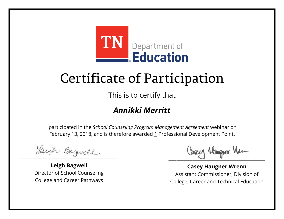![](_page_61_Picture_0.jpeg)

This is to certify that

### *Annikki Merritt*

Lugh Bazwell

**Leigh Bagwell** Director of School Counseling College and Career Pathways

Losey Hangra Vm

**Casey Haugner Wrenn** Assistant Commissioner, Division of College, Career and Technical Education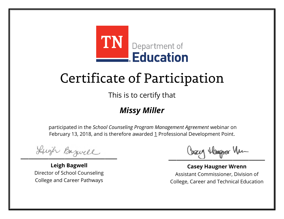![](_page_62_Picture_0.jpeg)

This is to certify that

#### *Missy Miller*

Lugh Bazwell

**Leigh Bagwell** Director of School Counseling College and Career Pathways

Losey Hangra Vm

**Casey Haugner Wrenn** Assistant Commissioner, Division of College, Career and Technical Education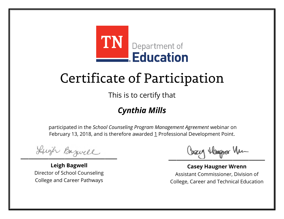![](_page_63_Picture_0.jpeg)

This is to certify that

### *Cynthia Mills*

Lugh Bazwell

**Leigh Bagwell** Director of School Counseling College and Career Pathways

Losey Hangra Vm

**Casey Haugner Wrenn** Assistant Commissioner, Division of College, Career and Technical Education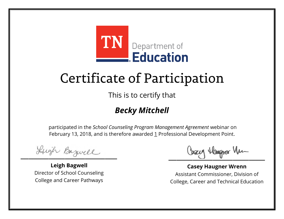![](_page_64_Picture_0.jpeg)

This is to certify that

### *Becky Mitchell*

Lugh Bazwell

**Leigh Bagwell** Director of School Counseling College and Career Pathways

Losey Hangra Vm

**Casey Haugner Wrenn** Assistant Commissioner, Division of College, Career and Technical Education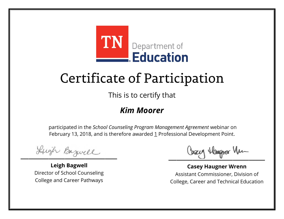![](_page_65_Picture_0.jpeg)

This is to certify that

#### *Kim Moorer*

Lugh Bazwell

**Leigh Bagwell** Director of School Counseling College and Career Pathways

Losey Hangra Vm

**Casey Haugner Wrenn** Assistant Commissioner, Division of College, Career and Technical Education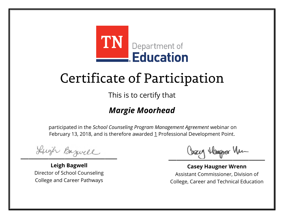![](_page_66_Picture_0.jpeg)

This is to certify that

### *Margie Moorhead*

Lugh Bazwell

**Leigh Bagwell** Director of School Counseling College and Career Pathways

Losey Hangra Vm

**Casey Haugner Wrenn** Assistant Commissioner, Division of College, Career and Technical Education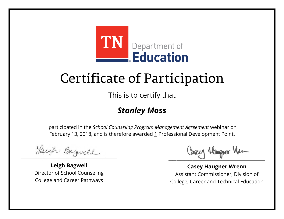![](_page_67_Picture_0.jpeg)

This is to certify that

#### *Stanley Moss*

Lugh Bazwell

**Leigh Bagwell** Director of School Counseling College and Career Pathways

Losey Hangra Vm

**Casey Haugner Wrenn** Assistant Commissioner, Division of College, Career and Technical Education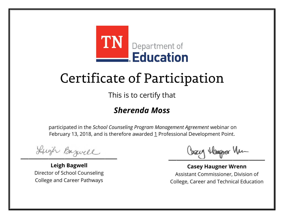![](_page_68_Picture_0.jpeg)

This is to certify that

#### *Sherenda Moss*

Lugh Bazwell

**Leigh Bagwell** Director of School Counseling College and Career Pathways

Losey Hangra Vm

**Casey Haugner Wrenn** Assistant Commissioner, Division of College, Career and Technical Education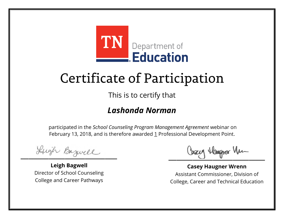![](_page_69_Picture_0.jpeg)

This is to certify that

#### *Lashonda Norman*

Lugh Bazwell

**Leigh Bagwell** Director of School Counseling College and Career Pathways

Losey Hangra Vm

**Casey Haugner Wrenn** Assistant Commissioner, Division of College, Career and Technical Education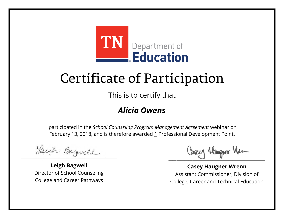![](_page_70_Picture_0.jpeg)

This is to certify that

#### *Alicia Owens*

Lugh Bazwell

**Leigh Bagwell** Director of School Counseling College and Career Pathways

Losey Hangra Vm

**Casey Haugner Wrenn** Assistant Commissioner, Division of College, Career and Technical Education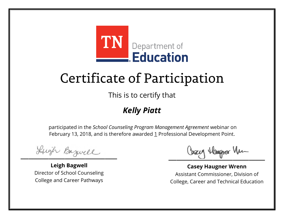![](_page_71_Picture_0.jpeg)

This is to certify that

### *Kelly Piatt*

Lugh Bazwell

**Leigh Bagwell** Director of School Counseling College and Career Pathways

Losey Hangra Vm

**Casey Haugner Wrenn** Assistant Commissioner, Division of College, Career and Technical Education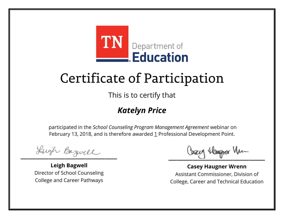

This is to certify that

#### *Katelyn Price*

Lugh Bazwell

**Leigh Bagwell** Director of School Counseling College and Career Pathways

Losey Hangra Vm

**Casey Haugner Wrenn** Assistant Commissioner, Division of College, Career and Technical Education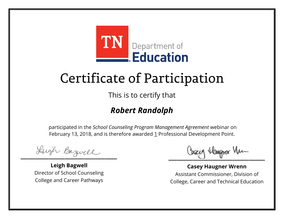

This is to certify that

#### *Robert Randolph*

Lugh Bazwell

**Leigh Bagwell** Director of School Counseling College and Career Pathways

Losey Hangra Vm

**Casey Haugner Wrenn** Assistant Commissioner, Division of College, Career and Technical Education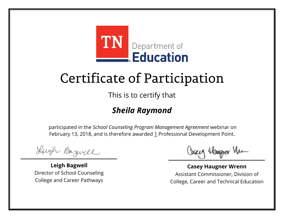

This is to certify that

#### *Sheila Raymond*

Lugh Bazwell

**Leigh Bagwell** Director of School Counseling College and Career Pathways

Losey Hangra Vm

**Casey Haugner Wrenn** Assistant Commissioner, Division of College, Career and Technical Education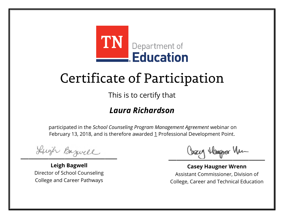

This is to certify that

#### *Laura Richardson*

Lugh Bazwell

**Leigh Bagwell** Director of School Counseling College and Career Pathways

Losey Hangra Vm

**Casey Haugner Wrenn** Assistant Commissioner, Division of College, Career and Technical Education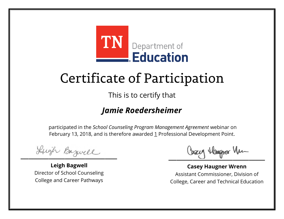

This is to certify that

#### *Jamie Roedersheimer*

Lugh Bazwell

**Leigh Bagwell** Director of School Counseling College and Career Pathways

Losey Hangra Vm

**Casey Haugner Wrenn** Assistant Commissioner, Division of College, Career and Technical Education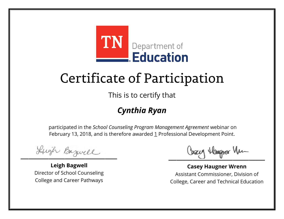

This is to certify that

#### *Cynthia Ryan*

Lugh Bazwell

**Leigh Bagwell** Director of School Counseling College and Career Pathways

Losey Hangra Vm

**Casey Haugner Wrenn** Assistant Commissioner, Division of College, Career and Technical Education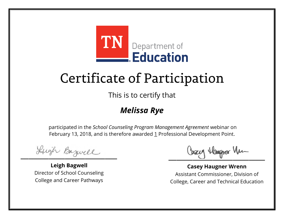

This is to certify that

#### *Melissa Rye*

Lugh Bazwell

**Leigh Bagwell** Director of School Counseling College and Career Pathways

Losey Hangra Vm

**Casey Haugner Wrenn** Assistant Commissioner, Division of College, Career and Technical Education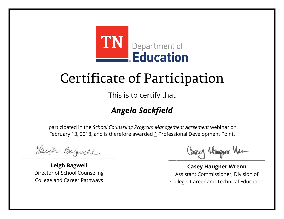

This is to certify that

#### *Angela Sackfield*

Lugh Bazwell

**Leigh Bagwell** Director of School Counseling College and Career Pathways

Losey Hangra Vm

**Casey Haugner Wrenn** Assistant Commissioner, Division of College, Career and Technical Education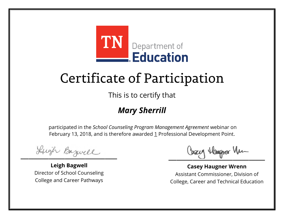

This is to certify that

#### *Mary Sherrill*

Lugh Bazwell

**Leigh Bagwell** Director of School Counseling College and Career Pathways

Losey Hangra Vm

**Casey Haugner Wrenn** Assistant Commissioner, Division of College, Career and Technical Education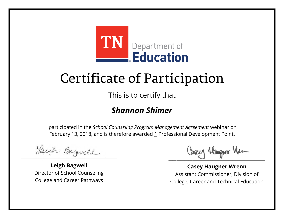

This is to certify that

#### *Shannon Shimer*

Lugh Bazwell

**Leigh Bagwell** Director of School Counseling College and Career Pathways

Losey Hangra Vm

**Casey Haugner Wrenn** Assistant Commissioner, Division of College, Career and Technical Education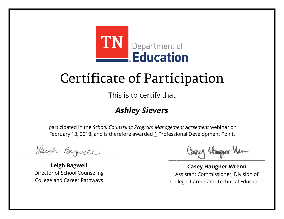

This is to certify that

#### *Ashley Sievers*

Lugh Bazwell

**Leigh Bagwell** Director of School Counseling College and Career Pathways

Losey Hangra Vm

**Casey Haugner Wrenn** Assistant Commissioner, Division of College, Career and Technical Education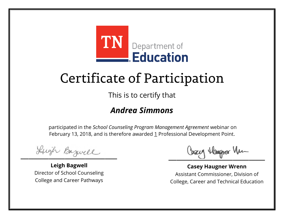

This is to certify that

#### *Andrea Simmons*

Lugh Bazwell

**Leigh Bagwell** Director of School Counseling College and Career Pathways

Losey Hangra Vm

**Casey Haugner Wrenn** Assistant Commissioner, Division of College, Career and Technical Education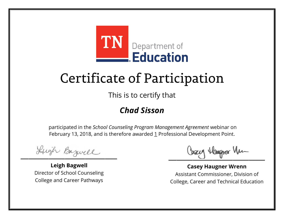

This is to certify that

#### *Chad Sisson*

Lugh Bazwell

**Leigh Bagwell** Director of School Counseling College and Career Pathways

Losey Hangra Vm

**Casey Haugner Wrenn** Assistant Commissioner, Division of College, Career and Technical Education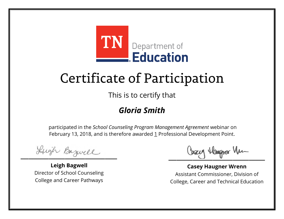

This is to certify that

#### *Gloria Smith*

Lugh Bazwell

**Leigh Bagwell** Director of School Counseling College and Career Pathways

Losey Hangra Vm

**Casey Haugner Wrenn** Assistant Commissioner, Division of College, Career and Technical Education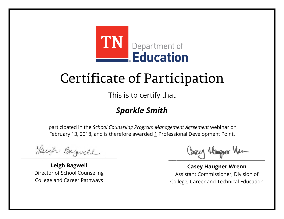

This is to certify that

#### *Sparkle Smith*

Lugh Bazwell

**Leigh Bagwell** Director of School Counseling College and Career Pathways

Losey Hangra Vm

**Casey Haugner Wrenn** Assistant Commissioner, Division of College, Career and Technical Education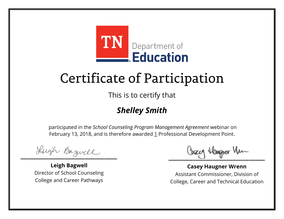

This is to certify that

#### *Shelley Smith*

Lugh Bazwell

**Leigh Bagwell** Director of School Counseling College and Career Pathways

Losey Hangra Vm

**Casey Haugner Wrenn** Assistant Commissioner, Division of College, Career and Technical Education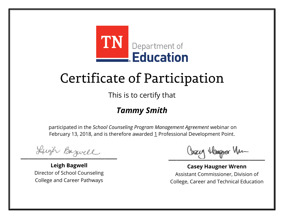

This is to certify that

#### *Tammy Smith*

Lugh Bazwell

**Leigh Bagwell** Director of School Counseling College and Career Pathways

Losey Hangra Vm

**Casey Haugner Wrenn** Assistant Commissioner, Division of College, Career and Technical Education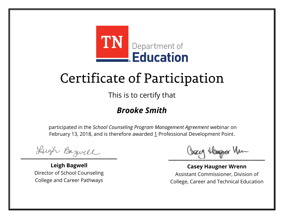

This is to certify that

#### *Brooke Smith*

Lugh Bazwell

**Leigh Bagwell** Director of School Counseling College and Career Pathways

Losey Hangra Vm

**Casey Haugner Wrenn** Assistant Commissioner, Division of College, Career and Technical Education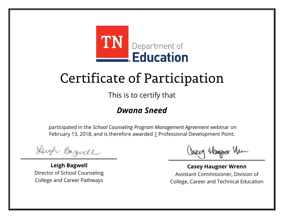

This is to certify that

#### *Dwana Sneed*

Lugh Bazwell

**Leigh Bagwell** Director of School Counseling College and Career Pathways

Losey Hangra Vm

**Casey Haugner Wrenn** Assistant Commissioner, Division of College, Career and Technical Education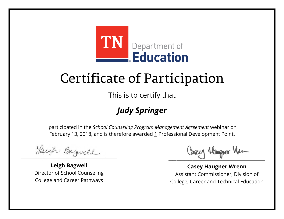

This is to certify that

#### *Judy Springer*

Lugh Bazwell

**Leigh Bagwell** Director of School Counseling College and Career Pathways

Losey Hangra Vm

**Casey Haugner Wrenn** Assistant Commissioner, Division of College, Career and Technical Education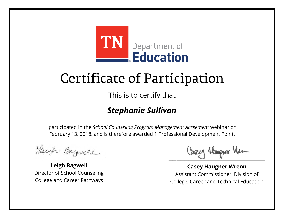

This is to certify that

#### *Stephanie Sullivan*

Lugh Bazwell

**Leigh Bagwell** Director of School Counseling College and Career Pathways

Losey Hangra Vm

**Casey Haugner Wrenn** Assistant Commissioner, Division of College, Career and Technical Education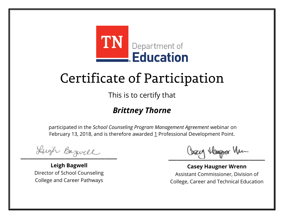

This is to certify that

#### *Brittney Thorne*

Lugh Bazwell

**Leigh Bagwell** Director of School Counseling College and Career Pathways

Losey Hangra Vm

**Casey Haugner Wrenn** Assistant Commissioner, Division of College, Career and Technical Education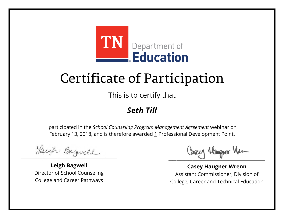

This is to certify that

#### *Seth Till*

Lugh Bazwell

**Leigh Bagwell** Director of School Counseling College and Career Pathways

Losey Hangra Vm

**Casey Haugner Wrenn** Assistant Commissioner, Division of College, Career and Technical Education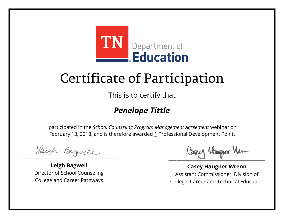

This is to certify that

#### *Penelope Tittle*

Lugh Bazwell

**Leigh Bagwell** Director of School Counseling College and Career Pathways

Losey Hangra Vm

**Casey Haugner Wrenn** Assistant Commissioner, Division of College, Career and Technical Education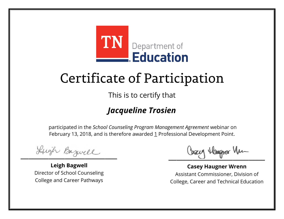

This is to certify that

#### *Jacqueline Trosien*

Lugh Bazwell

**Leigh Bagwell** Director of School Counseling College and Career Pathways

Losey Hangra Vm

**Casey Haugner Wrenn** Assistant Commissioner, Division of College, Career and Technical Education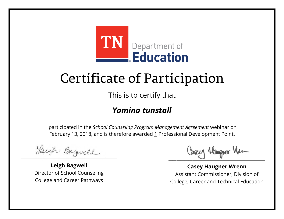

This is to certify that

#### *Yamina tunstall*

Lugh Bazwell

**Leigh Bagwell** Director of School Counseling College and Career Pathways

Losey Hangra Vm

**Casey Haugner Wrenn** Assistant Commissioner, Division of College, Career and Technical Education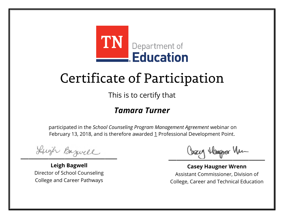

This is to certify that

#### *Tamara Turner*

Lugh Bazwell

**Leigh Bagwell** Director of School Counseling College and Career Pathways

Losey Hangra Vm

**Casey Haugner Wrenn** Assistant Commissioner, Division of College, Career and Technical Education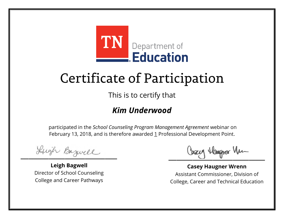

This is to certify that

#### *Kim Underwood*

Lugh Bazwell

**Leigh Bagwell** Director of School Counseling College and Career Pathways

Losey Hangra Vm

**Casey Haugner Wrenn** Assistant Commissioner, Division of College, Career and Technical Education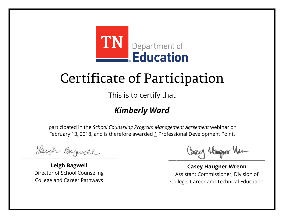

This is to certify that

#### *Kimberly Ward*

Lugh Bazwell

**Leigh Bagwell** Director of School Counseling College and Career Pathways

Losey Hangra Vm

**Casey Haugner Wrenn** Assistant Commissioner, Division of College, Career and Technical Education